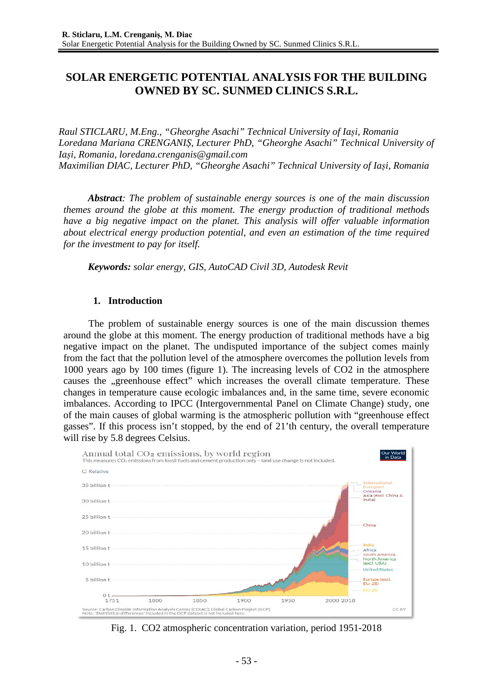# **SOLAR ENERGETIC POTENTIAL ANALYSIS FOR THE BUILDING OWNED BY SC. SUNMED CLINICS S.R.L.**

*Raul STICLARU, M.Eng., "Gheorghe Asachi" Technical University of Iași, Romania Loredana Mariana CRENGANIȘ, Lecturer PhD, "Gheorghe Asachi" Technical University of Iași, Romania, loredana.crenganis@gmail.com Maximilian DIAC, Lecturer PhD, "Gheorghe Asachi" Technical University of Iași, Romania*

*Abstract: The problem of sustainable energy sources is one of the main discussion themes around the globe at this moment. The energy production of traditional methods have a big negative impact on the planet. This analysis will offer valuable information about electrical energy production potential, and even an estimation of the time required for the investment to pay for itself.*

*Keywords: solar energy, GIS, AutoCAD Civil 3D, Autodesk Revit*

## **1. Introduction**

The problem of sustainable energy sources is one of the main discussion themes around the globe at this moment. The energy production of traditional methods have a big negative impact on the planet. The undisputed importance of the subject comes mainly from the fact that the pollution level of the atmosphere overcomes the pollution levels from 1000 years ago by 100 times (figure 1). The increasing levels of CO2 in the atmosphere causes the "greenhouse effect" which increases the overall climate temperature. These changes in temperature cause ecologic imbalances and, in the same time, severe economic imbalances. According to IPCC (Intergovernmental Panel on Climate Change) study, one of the main causes of global warming is the atmospheric pollution with "greenhouse effect gasses". If this process isn't stopped, by the end of 21'th century, the overall temperature will rise by 5.8 degrees Celsius.



Fig. 1. CO2 atmospheric concentration variation, period 1951-2018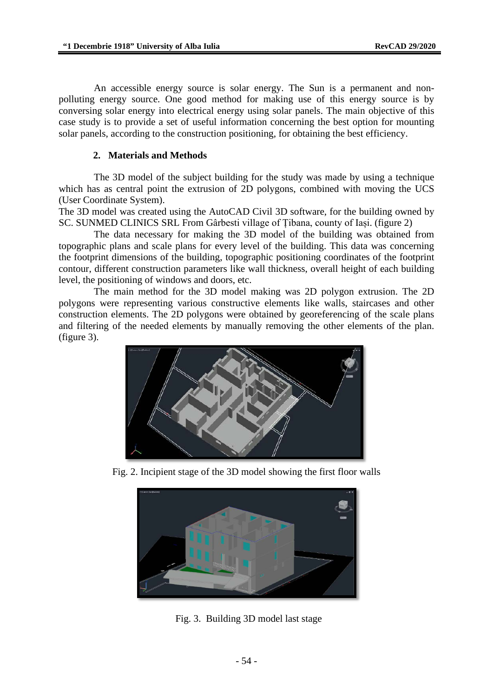An accessible energy source is solar energy. The Sun is a permanent and nonpolluting energy source. One good method for making use of this energy source is by conversing solar energy into electrical energy using solar panels. The main objective of this case study is to provide a set of useful information concerning the best option for mounting solar panels, according to the construction positioning, for obtaining the best efficiency.

# **2. Materials and Methods**

The 3D model of the subject building for the study was made by using a technique which has as central point the extrusion of 2D polygons, combined with moving the UCS (User Coordinate System).

The 3D model was created using the AutoCAD Civil 3D software, for the building owned by SC. SUNMED CLINICS SRL From Gârbesti village of Țibana, county of Iași. (figure 2)

The data necessary for making the 3D model of the building was obtained from topographic plans and scale plans for every level of the building. This data was concerning the footprint dimensions of the building, topographic positioning coordinates of the footprint contour, different construction parameters like wall thickness, overall height of each building level, the positioning of windows and doors, etc.

The main method for the 3D model making was 2D polygon extrusion. The 2D polygons were representing various constructive elements like walls, staircases and other construction elements. The 2D polygons were obtained by georeferencing of the scale plans and filtering of the needed elements by manually removing the other elements of the plan. (figure 3).



Fig. 2. Incipient stage of the 3D model showing the first floor walls



Fig. 3. Building 3D model last stage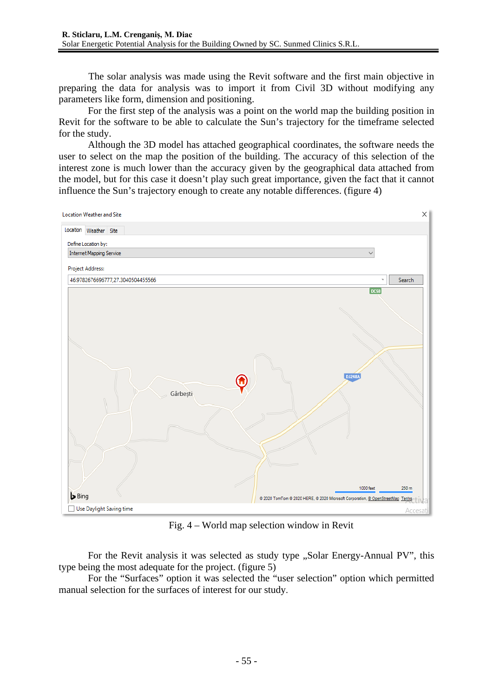The solar analysis was made using the Revit software and the first main objective in preparing the data for analysis was to import it from Civil 3D without modifying any parameters like form, dimension and positioning.

For the first step of the analysis was a point on the world map the building position in Revit for the software to be able to calculate the Sun's trajectory for the timeframe selected for the study.

Although the 3D model has attached geographical coordinates, the software needs the user to select on the map the position of the building. The accuracy of this selection of the interest zone is much lower than the accuracy given by the geographical data attached from the model, but for this case it doesn't play such great importance, given the fact that it cannot influence the Sun's trajectory enough to create any notable differences. (figure 4)



Fig. 4 – World map selection window in Revit

For the Revit analysis it was selected as study type "Solar Energy-Annual PV", this type being the most adequate for the project. (figure 5)

For the "Surfaces" option it was selected the "user selection" option which permitted manual selection for the surfaces of interest for our study.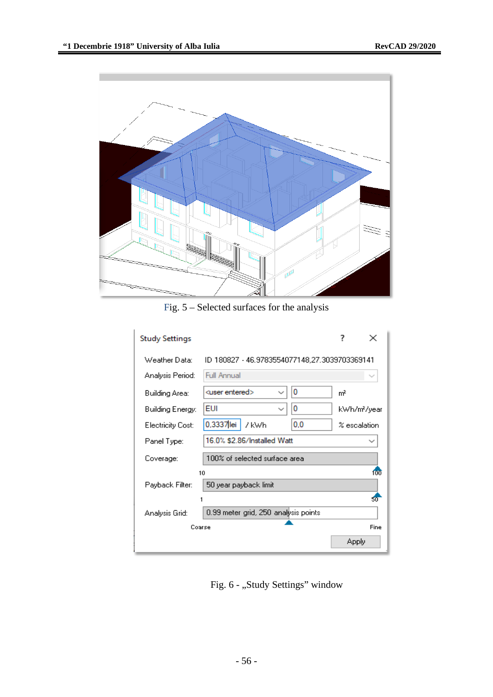

Fig. 5 – Selected surfaces for the analysis

| <b>Study Settings</b>    |                                               |                  |             |
|--------------------------|-----------------------------------------------|------------------|-------------|
| Weather Data:            | ID 180827 - 46.9783554077148.27.3039703369141 |                  |             |
| Analysis Period:         | <b>Full Annual</b>                            |                  |             |
| Building Area:           | 0<br><user entered=""></user>                 | mř               |             |
| Building Energy:         | EUI<br>0<br>$\checkmark$                      |                  | kWh/m?/year |
| <b>Electricity Cost:</b> | 0,3337 lei<br>0,0<br>7 kWh                    | $\%$ escalation. |             |
| Panel Type:              | 16.0% \$2.86/Installed Watt                   |                  |             |
| Coverage:                | $100\%$ of selected surface area              |                  |             |
| 10<br>100                |                                               |                  |             |
| Payback Filter:          | 50 year payback limit                         |                  |             |
|                          |                                               |                  | 50          |
| Analysis Grid:           | 0.99 meter grid, 250 analysis points.         |                  |             |
| Coarse                   |                                               |                  | Fine        |
|                          |                                               | Apply            |             |

Fig. 6 - "Study Settings" window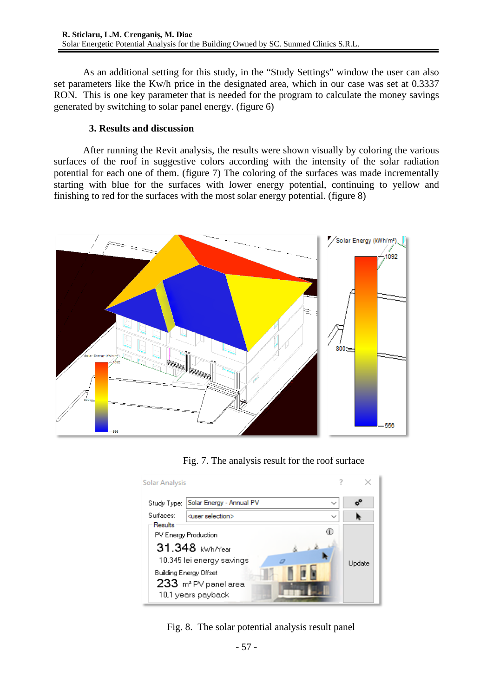As an additional setting for this study, in the "Study Settings" window the user can also set parameters like the Kw/h price in the designated area, which in our case was set at 0.3337 RON. This is one key parameter that is needed for the program to calculate the money savings generated by switching to solar panel energy. (figure 6)

# **3. Results and discussion**

After running the Revit analysis, the results were shown visually by coloring the various surfaces of the roof in suggestive colors according with the intensity of the solar radiation potential for each one of them. (figure 7) The coloring of the surfaces was made incrementally starting with blue for the surfaces with lower energy potential, continuing to yellow and finishing to red for the surfaces with the most solar energy potential. (figure 8)



Fig. 7. The analysis result for the roof surface



Fig. 8. The solar potential analysis result panel